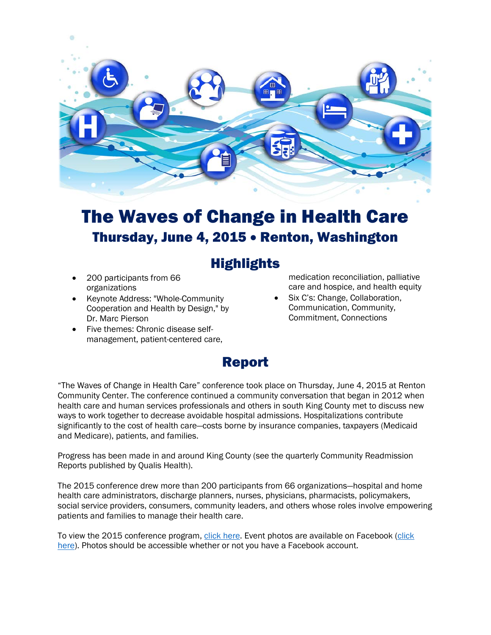

# The Waves of Change in Health Care Thursday, June 4, 2015 • Renton, Washington

## **Highlights**

- 200 participants from 66 organizations
- Keynote Address: "Whole-Community Cooperation and Health by Design," by Dr. Marc Pierson
- Five themes: Chronic disease selfmanagement, patient-centered care,

medication reconciliation, palliative care and hospice, and health equity

Six C's: Change, Collaboration, Communication, Community, Commitment, Connections

## Report

"The Waves of Change in Health Care" conference took place on Thursday, June 4, 2015 at Renton Community Center. The conference continued a community conversation that began in 2012 when health care and human services professionals and others in south King County met to discuss new ways to work together to decrease avoidable hospital admissions. Hospitalizations contribute significantly to the cost of health care—costs borne by insurance companies, taxpayers (Medicaid and Medicare), patients, and families.

Progress has been made in and around King County (see the quarterly Community Readmission Reports published by Qualis Health).

The 2015 conference drew more than 200 participants from 66 organizations—hospital and home health care administrators, discharge planners, nurses, physicians, pharmacists, policymakers, social service providers, consumers, community leaders, and others whose roles involve empowering patients and families to manage their health care.

To view the 2015 conference program, [click here.](http://www.agingkingcounty.org/CTconference/docs/2015-conference-program.pdf) Event photos are available on Facebook (click [here\)](https://www.facebook.com/media/set/?set=a.1146899785335914.1073741838.198296426862926&type=1). Photos should be accessible whether or not you have a Facebook account.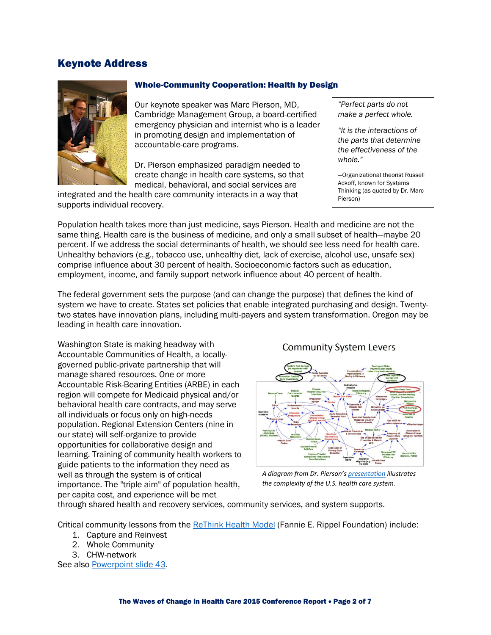### Keynote Address



#### Whole-Community Cooperation: Health by Design

Our keynote speaker was Marc Pierson, MD, Cambridge Management Group, a board-certified emergency physician and internist who is a leader in promoting design and implementation of accountable-care programs.

Dr. Pierson emphasized paradigm needed to create change in health care systems, so that medical, behavioral, and social services are

integrated and the health care community interacts in a way that supports individual recovery.

*"Perfect parts do not make a perfect whole.*

*"It is the interactions of the parts that determine the effectiveness of the whole."*

—Organizational theorist Russell Ackoff, known for Systems Thinking (as quoted by Dr. Marc Pierson)

Population health takes more than just medicine, says Pierson. Health and medicine are not the same thing. Health care is the business of medicine, and only a small subset of health—maybe 20 percent. If we address the social determinants of health, we should see less need for health care. Unhealthy behaviors (e.g., tobacco use, unhealthy diet, lack of exercise, alcohol use, unsafe sex) comprise influence about 30 percent of health. Socioeconomic factors such as education, employment, income, and family support network influence about 40 percent of health.

The federal government sets the purpose (and can change the purpose) that defines the kind of system we have to create. States set policies that enable integrated purchasing and design. Twentytwo states have innovation plans, including multi-payers and system transformation. Oregon may be leading in health care innovation.

Washington State is making headway with Accountable Communities of Health, a locallygoverned public-private partnership that will manage shared resources. One or more Accountable Risk-Bearing Entities (ARBE) in each region will compete for Medicaid physical and/or behavioral health care contracts, and may serve all individuals or focus only on high-needs population. Regional Extension Centers (nine in our state) will self-organize to provide opportunities for collaborative design and learning. Training of community health workers to guide patients to the information they need as well as through the system is of critical importance. The "triple aim" of population health, per capita cost, and experience will be met

**Community System Levers** 



*A diagram from Dr. Pierson'[s presentation](http://www.agingkingcounty.org/CTconference/docs/2015presentations/Marc-Pierson_Whole-Community-Cooperation_Health-by-Design.pdf) illustrates [the complexity of the U.S. health care system.](http://www.agingkingcounty.org/CTconference/docs/2015presentations/Marc-Pierson_Whole-Community-Cooperation_Health-by-Design.pdf)*

through shared health and recovery services, community services, and system supports.

Critical community lessons from th[e ReThink Health Model](http://www.rethinkhealth.org/our-work/dynamic-modeling-strategy/) (Fannie E. Rippel Foundation) include:

- 1. Capture and Reinvest
- 2. Whole Community
- 3. CHW-network

See also [Powerpoint slide 43.](http://www.agingkingcounty.org/CTconference/docs/2015presentations/Marc-Pierson_Whole-Community-Cooperation_Health-by-Design.pdf)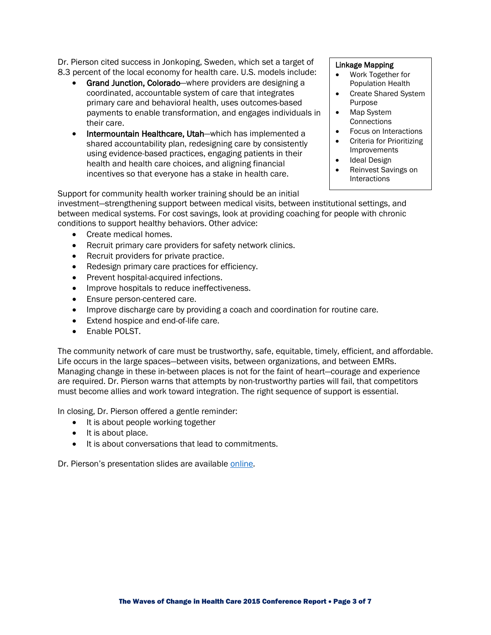Dr. Pierson cited success in Jonkoping, Sweden, which set a target of 8.3 percent of the local economy for health care. U.S. models include:

- Grand Junction, Colorado—where providers are designing a coordinated, accountable system of care that integrates primary care and behavioral health, uses outcomes-based payments to enable transformation, and engages individuals in their care.
- Intermountain Healthcare, Utah—which has implemented a shared accountability plan, redesigning care by consistently using evidence-based practices, engaging patients in their health and health care choices, and aligning financial incentives so that everyone has a stake in health care.

#### Linkage Mapping

- Work Together for Population Health
- Create Shared System Purpose
- Map System **Connections**
- Focus on Interactions<br>• Criteria for Prioritizing
- Criteria for Prioritizing Improvements
- Ideal Design
- Reinvest Savings on **Interactions**

Support for community health worker training should be an initial

investment—strengthening support between medical visits, between institutional settings, and between medical systems. For cost savings, look at providing coaching for people with chronic conditions to support healthy behaviors. Other advice:

- Create medical homes.
- Recruit primary care providers for safety network clinics.
- Recruit providers for private practice.
- Redesign primary care practices for efficiency.
- Prevent hospital-acquired infections.
- Improve hospitals to reduce ineffectiveness.
- Ensure person-centered care.
- Improve discharge care by providing a coach and coordination for routine care.
- Extend hospice and end-of-life care.
- Enable POLST.

The community network of care must be trustworthy, safe, equitable, timely, efficient, and affordable. Life occurs in the large spaces—between visits, between organizations, and between EMRs. Managing change in these in-between places is not for the faint of heart—courage and experience are required. Dr. Pierson warns that attempts by non-trustworthy parties will fail, that competitors must become allies and work toward integration. The right sequence of support is essential.

In closing, Dr. Pierson offered a gentle reminder:

- It is about people working together
- It is about place.
- It is about conversations that lead to commitments.

Dr. Pierson's presentation slides are available [online.](http://www.agingkingcounty.org/CTconference/docs/2015presentations/Marc-Pierson_Whole-Community-Cooperation_Health-by-Design.pdf)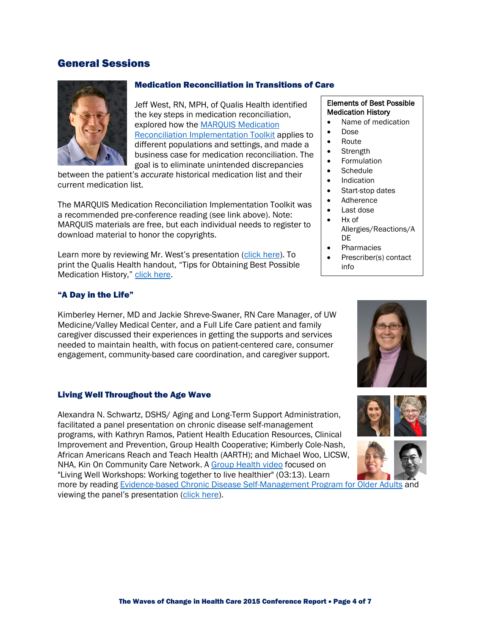## General Sessions



#### Medication Reconciliation in Transitions of Care

Jeff West, RN, MPH, of Qualis Health identified the key steps in medication reconciliation, explored how the [MARQUIS Medication](http://www.hospitalmedicine.org/Web/Quality___Innovation/Implementation_Toolkit/MARQUIS/Overview_Medication_Reconciliation.aspx)  [Reconciliation Implementation Toolkit](http://www.hospitalmedicine.org/Web/Quality___Innovation/Implementation_Toolkit/MARQUIS/Overview_Medication_Reconciliation.aspx) applies to different populations and settings, and made a business case for medication reconciliation. The goal is to eliminate unintended discrepancies

between the patient's *accurate* historical medication list and their current medication list.

The MARQUIS Medication Reconciliation Implementation Toolkit was a recommended pre-conference reading (see link above). Note: MARQUIS materials are free, but each individual needs to register to download material to honor the copyrights.

Learn more by reviewing Mr. West's presentation [\(click here\)](http://www.agingkingcounty.org/CTconference/docs/2015presentations/med-reconciliation-in-transitions-of-care.pdf). To print the Qualis Health handout, "Tips for Obtaining Best Possible Medication History," [click here.](http://www.agingkingcounty.org/CTconference/docs/2015presentations/Tips-Obtaining-Best-Possible-Med-Hx.pdf)

#### "A Day in the Life"

Kimberley Herner, MD and Jackie Shreve-Swaner, RN Care Manager, of UW Medicine/Valley Medical Center, and a Full Life Care patient and family caregiver discussed their experiences in getting the supports and services needed to maintain health, with focus on patient-centered care, consumer engagement, community-based care coordination, and caregiver support.

#### Living Well Throughout the Age Wave

Alexandra N. Schwartz, DSHS/ Aging and Long-Term Support Administration, facilitated a panel presentation on chronic disease self-management programs, with Kathryn Ramos, Patient Health Education Resources, Clinical Improvement and Prevention, Group Health Cooperative; Kimberly Cole-Nash, African Americans Reach and Teach Health (AARTH); and Michael Woo, LICSW, NHA, Kin On Community Care Network. A [Group Health video](https://youtu.be/3x0GCipm_ZE) focused on "Living Well Workshops: Working together to live healthier" (03:13). Learn

more by reading [Evidence-based Chronic Disease Self-Management Program for Older Adults](http://www.ncoa.org/improve-health/center-for-healthy-aging/content-library/CDSMP-6-30-2011.pdf) and viewing the panel's presentation [\(click here\)](http://www.agingkingcounty.org/CTconference/docs/2015presentations/living-well-thruout-the-age-wave.pdf).

#### Elements of Best Possible Medication History

- Name of medication
- Dose
- Route
- Strength
- **Formulation**
- Schedule
- Indication
- Start-stop dates
- Adherence
	- Last dose
- Hx of
- Allergies/Reactions/A DE
- Pharmacies
- Prescriber(s) contact info





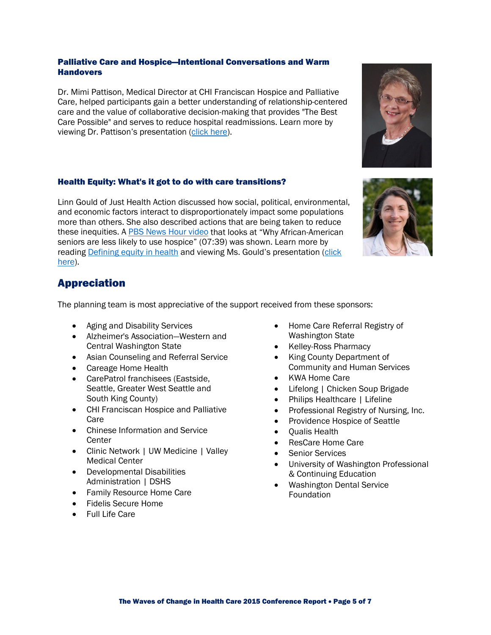#### Palliative Care and Hospice—Intentional Conversations and Warm **Handovers**

Dr. Mimi Pattison, Medical Director at CHI Franciscan Hospice and Palliative Care, helped participants gain a better understanding of relationship-centered care and the value of collaborative decision-making that provides "The Best Care Possible" and serves to reduce hospital readmissions. Learn more by viewing Dr. Pattison's presentation [\(click here\)](http://www.agingkingcounty.org/CTconference/docs/2015presentations/palliative-care-and-hospice.pdf).

#### Health Equity: What's it got to do with care transitions?

Linn Gould of Just Health Action discussed how social, political, environmental, and economic factors interact to disproportionately impact some populations more than others. She also described actions that are being taken to reduce these inequities. A [PBS News Hour video](https://youtu.be/dypoYEvBfs4) that looks at "Why African-American seniors are less likely to use hospice" (07:39) was shown. Learn more by readin[g Defining equity in health](http://www.agingkingcounty.org/CTconference/docs/Defining-equity-in-health.pdf) and viewing Ms. Gould's presentation [\(click](http://www.agingkingcounty.org/CTconference/docs/2015presentations/health-equity-whats-it-got-to-do-with-care-transitions.pdf)  [here\)](http://www.agingkingcounty.org/CTconference/docs/2015presentations/health-equity-whats-it-got-to-do-with-care-transitions.pdf).

## Appreciation

The planning team is most appreciative of the support received from these sponsors:

- Aging and Disability Services
- Alzheimer's Association—Western and Central Washington State
- Asian Counseling and Referral Service
- Careage Home Health
- CarePatrol franchisees (Eastside, Seattle, Greater West Seattle and South King County)
- CHI Franciscan Hospice and Palliative Care
- Chinese Information and Service **Center**
- Clinic Network | UW Medicine | Valley Medical Center
- Developmental Disabilities Administration | DSHS
- Family Resource Home Care
- Fidelis Secure Home
- Full Life Care
- Home Care Referral Registry of Washington State
- Kelley-Ross Pharmacy
- King County Department of Community and Human Services
- KWA Home Care
- Lifelong | Chicken Soup Brigade
- Philips Healthcare | Lifeline
- Professional Registry of Nursing, Inc.
- Providence Hospice of Seattle
- Qualis Health
- ResCare Home Care
- Senior Services
- University of Washington Professional & Continuing Education
- Washington Dental Service Foundation



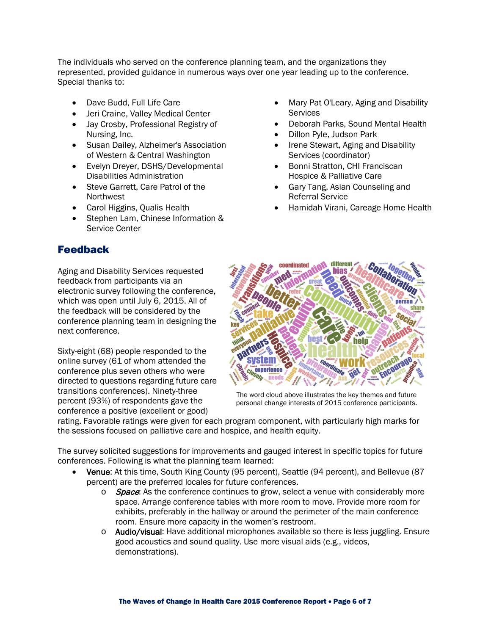The individuals who served on the conference planning team, and the organizations they represented, provided guidance in numerous ways over one year leading up to the conference. Special thanks to:

- Dave Budd, Full Life Care
- Jeri Craine, Valley Medical Center
- Jay Crosby, Professional Registry of Nursing, Inc.
- Susan Dailey, Alzheimer's Association of Western & Central Washington
- Evelyn Dreyer, DSHS/Developmental Disabilities Administration
- Steve Garrett, Care Patrol of the Northwest
- Carol Higgins, Qualis Health
- Stephen Lam, Chinese Information & Service Center

## Feedback

Aging and Disability Services requested feedback from participants via an electronic survey following the conference, which was open until July 6, 2015. All of the feedback will be considered by the conference planning team in designing the next conference.

Sixty-eight (68) people responded to the online survey (61 of whom attended the conference plus seven others who were directed to questions regarding future care transitions conferences). Ninety-three percent (93%) of respondents gave the conference a positive (excellent or good)

- Mary Pat O'Leary, Aging and Disability **Services**
- Deborah Parks, Sound Mental Health
- Dillon Pyle, Judson Park
- Irene Stewart, Aging and Disability Services (coordinator)
- Bonni Stratton, CHI Franciscan Hospice & Palliative Care
- Gary Tang, Asian Counseling and Referral Service
- Hamidah Virani, Careage Home Health



The word cloud above illustrates the key themes and future personal change interests of 2015 conference participants.

rating. Favorable ratings were given for each program component, with particularly high marks for the sessions focused on palliative care and hospice, and health equity.

The survey solicited suggestions for improvements and gauged interest in specific topics for future conferences. Following is what the planning team learned:

- Venue: At this time, South King County (95 percent), Seattle (94 percent), and Bellevue (87 percent) are the preferred locales for future conferences.
	- $\circ$  Space: As the conference continues to grow, select a venue with considerably more space. Arrange conference tables with more room to move. Provide more room for exhibits, preferably in the hallway or around the perimeter of the main conference room. Ensure more capacity in the women's restroom.
	- o Audio/visual: Have additional microphones available so there is less juggling. Ensure good acoustics and sound quality. Use more visual aids (e.g., videos, demonstrations).